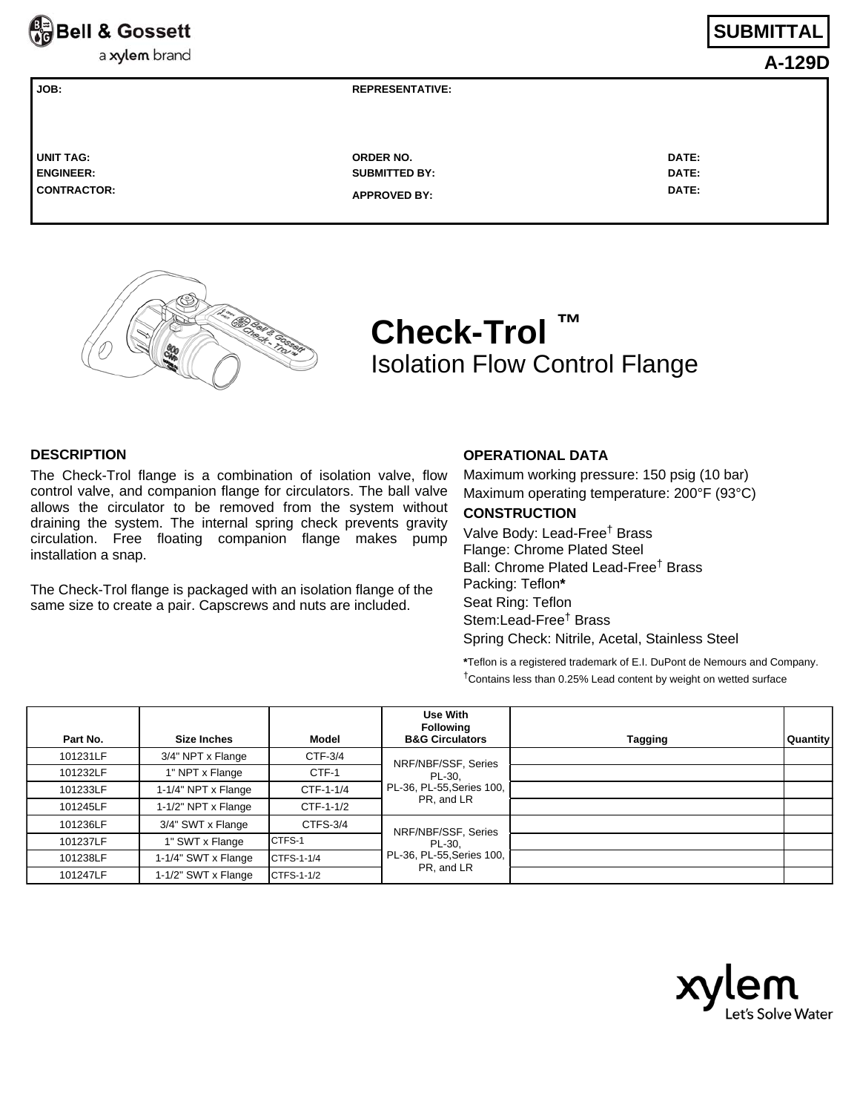

a xylem brand

# **SUBMITTAL**

**A-129D**

| I UNIT TAG:      | <b>ORDER NO.</b>     | <b>DATE:</b> |
|------------------|----------------------|--------------|
| <b>ENGINEER:</b> | <b>SUBMITTED BY:</b> | <b>DATE:</b> |
| CONTRACTOR:      | <b>APPROVED BY:</b>  | <b>DATE:</b> |



# **Check-Trol ™** Isolation Flow Control Flange

#### **DESCRIPTION**

The Check-Trol flange is a combination of isolation valve, flow control valve, and companion flange for circulators. The ball valve allows the circulator to be removed from the system without draining the system. The internal spring check prevents gravity circulation. Free floating companion flange makes pump installation a snap.

**JOB: REPRESENTATIVE:** 

The Check-Trol flange is packaged with an isolation flange of the same size to create a pair. Capscrews and nuts are included.

### **OPERATIONAL DATA**

Maximum working pressure: 150 psig (10 bar) Maximum operating temperature: 200°F (93°C)

## **CONSTRUCTION**

Valve Body: Lead-Free† Brass Flange: Chrome Plated Steel Ball: Chrome Plated Lead-Free† Brass Packing: Teflon**\*** Seat Ring: Teflon Stem:Lead-Free† Brass Spring Check: Nitrile, Acetal, Stainless Steel

**\***Teflon is a registered trademark of E.I. DuPont de Nemours and Company. †Contains less than 0.25% Lead content by weight on wetted surface

| Part No. | Size Inches         | Model      | Use With<br><b>Following</b><br><b>B&amp;G Circulators</b>               | Tagging | <b>Quantity</b> |
|----------|---------------------|------------|--------------------------------------------------------------------------|---------|-----------------|
| 101231LF | 3/4" NPT x Flange   | CTF-3/4    | NRF/NBF/SSF, Series<br>PL-30.<br>PL-36, PL-55, Series 100,<br>PR. and LR |         |                 |
| 101232LF | 1" NPT x Flange     | CTF-1      |                                                                          |         |                 |
| 101233LF | 1-1/4" NPT x Flange | CTF-1-1/4  |                                                                          |         |                 |
| 101245LF | 1-1/2" NPT x Flange | CTF-1-1/2  |                                                                          |         |                 |
| 101236LF | 3/4" SWT x Flange   | CTFS-3/4   | NRF/NBF/SSF, Series<br>PL-30.<br>PL-36, PL-55, Series 100,<br>PR, and LR |         |                 |
| 101237LF | 1" SWT x Flange     | CTFS-1     |                                                                          |         |                 |
| 101238LF | 1-1/4" SWT x Flange | CTFS-1-1/4 |                                                                          |         |                 |
| 101247LF | 1-1/2" SWT x Flange | CTFS-1-1/2 |                                                                          |         |                 |